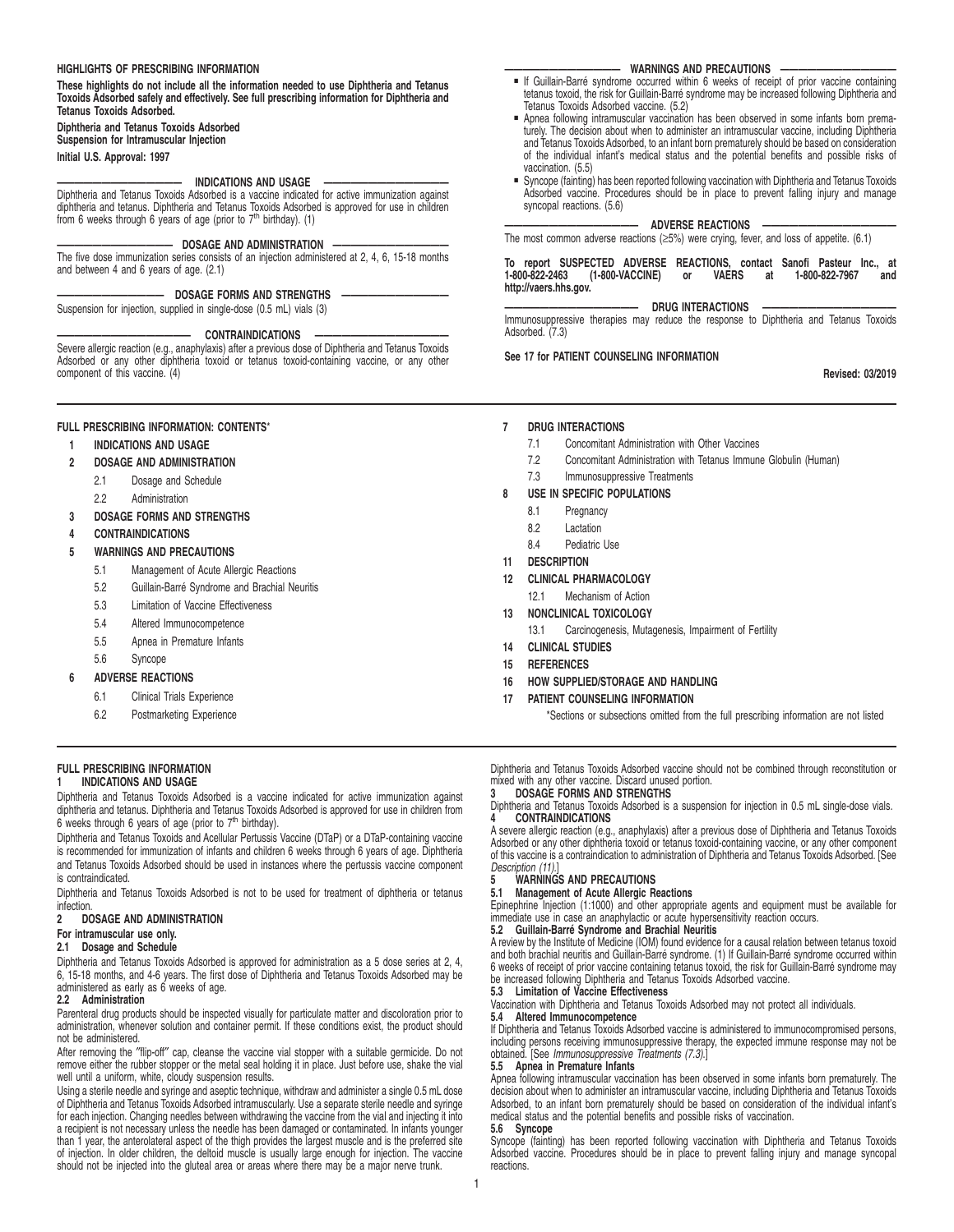# **HIGHLIGHTS OF PRESCRIBING INFORMATION**

**These highlights do not include all the information needed to use Diphtheria and Tetanus Toxoids Adsorbed safely and effectively. See full prescribing information for Diphtheria and Tetanus Toxoids Adsorbed.**

# **Diphtheria and Tetanus Toxoids Adsorbed**

**Suspension for Intramuscular Injection**

## **Initial U.S. Approval: 1997**

# **INDICATIONS AND USAGE**

Diphtheria and Tetanus Toxoids Adsorbed is a vaccine indicated for active immunization against diphtheria and tetanus. Diphtheria and Tetanus Toxoids Adsorbed is approved for use in children from 6 weeks through 6 years of age (prior to 7th birthday). (1)

#### **————————————— DOSAGE AND ADMINISTRATION —————————————**

The five dose immunization series consists of an injection administered at 2, 4, 6, 15-18 months and between 4 and 6 years of age. (2.1)

# - DOSAGE FORMS AND STRENGTHS

Suspension for injection, supplied in single-dose (0.5 mL) vials (3)

#### **——————————————— CONTRAINDICATIONS ———————————————**

Severe allergic reaction (e.g., anaphylaxis) after a previous dose of Diphtheria and Tetanus Toxoids Adsorbed or any other diphtheria toxoid or tetanus toxoid-containing vaccine, or any other component of this vaccine. (4)

# **FULL PRESCRIBING INFORMATION: CONTENTS**\*

# **1 INDICATIONS AND USAGE**

- **2 DOSAGE AND ADMINISTRATION**
	- 2.1 Dosage and Schedule
	- 2.2 Administration
- **3 DOSAGE FORMS AND STRENGTHS**

#### **4 CONTRAINDICATIONS**

- **5 WARNINGS AND PRECAUTIONS**
	- 5.1 Management of Acute Allergic Reactions
	- 5.2 Guillain-Barré Syndrome and Brachial Neuritis
	- 5.3 Limitation of Vaccine Effectiveness
	- 5.4 Altered Immunocompetence
	- 5.5 Apnea in Premature Infants
	- 5.6 Syncope
- **6 ADVERSE REACTIONS**
	- 6.1 Clinical Trials Experience
	- 6.2 Postmarketing Experience

#### **FULL PRESCRIBING INFORMATION 1 INDICATIONS AND USAGE**

Diphtheria and Tetanus Toxoids Adsorbed is a vaccine indicated for active immunization against diphtheria and tetanus. Diphtheria and Tetanus Toxoids Adsorbed is approved for use in children from 6 weeks through 6 years of age (prior to 7<sup>th</sup> birthday).

Diphtheria and Tetanus Toxoids and Acellular Pertussis Vaccine (DTaP) or a DTaP-containing vaccine is recommended for immunization of infants and children 6 weeks through 6 years of age. Diphtheria and Tetanus Toxoids Adsorbed should be used in instances where the pertussis vaccine component is contraindicated.

Diphtheria and Tetanus Toxoids Adsorbed is not to be used for treatment of diphtheria or tetanus infection.<br>2 DC

# **2 DOSAGE AND ADMINISTRATION**

# **For intramuscular use only.**

# **2.1 Dosage and Schedule**

Diphtheria and Tetanus Toxoids Adsorbed is approved for administration as a 5 dose series at 2, 4, 6, 15-18 months, and 4-6 years. The first dose of Diphtheria and Tetanus Toxoids Adsorbed may be administered as early as 6 weeks of age.

#### **2.2 Administration**

Parenteral drug products should be inspected visually for particulate matter and discoloration prior to administration, whenever solution and container permit. If these conditions exist, the product should not be administered.

After removing the ″flip-off″ cap, cleanse the vaccine vial stopper with a suitable germicide. Do not remove either the rubber stopper or the metal seal holding it in place. Just before use, shake the vial well until a uniform, white, cloudy suspension results.

Using a sterile needle and syringe and aseptic technique, withdraw and administer a single 0.5 mL dose of Diphtheria and Tetanus Toxoids Adsorbed intramuscularly. Use a separate sterile needle and syringe for each injection. Changing needles between withdrawing the vaccine from the vial and injecting it into a recipient is not necessary unless the needle has been damaged or contaminated. In infants younger than 1 year, the anterolateral aspect of the thigh provides the largest muscle and is the preferred site of injection. In older children, the deltoid muscle is usually large enough for injection. The vaccine should not be injected into the gluteal area or areas where there may be a major nerve trunk.

#### **WARNINGS AND PRECAUTIONS**

- If Guillain-Barré syndrome occurred within 6 weeks of receipt of prior vaccine containing tetanus toxoid, the risk for Guillain-Barré syndrome may be increased following Diphtheria and Tetanus Toxoids Adsorbed vaccine. (5.2)
- **Apnea following intramuscular vaccination has been observed in some infants born prema**turely. The decision about when to administer an intramuscular vaccine, including Diphtheria and Tetanus Toxoids Adsorbed, to an infant born prematurely should be based on consideration of the individual infant's medical status and the potential benefits and possible risks of vaccination. (5.5)
- Syncope (fainting) has been reported following vaccination with Diphtheria and Tetanus Toxoids Adsorbed vaccine. Procedures should be in place to prevent falling injury and manage syncopal reactions. (5.6)

#### **ADVERSE REACTIONS**

The most common adverse reactions ( $\geq$ 5%) were crying, fever, and loss of appetite. (6.1)

#### **To report SUSPECTED ADVERSE REACTIONS, contact Sanofi Pasteur Inc., at (1-800-VACCINE) http://vaers.hhs.gov.**

#### **DRUG INTERACTIONS**

Immunosuppressive therapies may reduce the response to Diphtheria and Tetanus Toxoids Adsorbed.<sup>'</sup>(7.3)

# **See 17 for PATIENT COUNSELING INFORMATION**

**Revised: 03/2019**

#### **7 DRUG INTERACTIONS**

- 7.1 Concomitant Administration with Other Vaccines
- 7.2 Concomitant Administration with Tetanus Immune Globulin (Human)
- 7.3 Immunosuppressive Treatments

# **8 USE IN SPECIFIC POPULATIONS**

- 8.1 Pregnancy
- 8.2 Lactation
- 8.4 Pediatric Use
- **11 DESCRIPTION**
- **12 CLINICAL PHARMACOLOGY**
	- 12.1 Mechanism of Action
- **13 NONCLINICAL TOXICOLOGY**
	- 13.1 Carcinogenesis, Mutagenesis, Impairment of Fertility
- **14 CLINICAL STUDIES**
- **15 REFERENCES**
- **16 HOW SUPPLIED/STORAGE AND HANDLING**
- **17 PATIENT COUNSELING INFORMATION**

\*Sections or subsections omitted from the full prescribing information are not listed

Diphtheria and Tetanus Toxoids Adsorbed vaccine should not be combined through reconstitution or mixed with any other vaccine. Discard unused portion. **3 DOSAGE FORMS AND STRENGTHS**

Diphtheria and Tetanus Toxoids Adsorbed is a suspension for injection in 0.5 mL single-dose vials. **4 CONTRAINDICATIONS**

A severe allergic reaction (e.g., anaphylaxis) after a previous dose of Diphtheria and Tetanus Toxoids Adsorbed or any other diphtheria toxoid or tetanus toxoid-containing vaccine, or any other component of this vaccine is a contraindication to administration of Diphtheria and Tetanus Toxoids Adsorbed. [See

# Description (11).] **5 WARNINGS AND PRECAUTIONS**

#### **5.1 Management of Acute Allergic Reactions**

Epinephrine Injection (1:1000) and other appropriate agents and equipment must be available for immediate use in case an anaphylactic or acute hypersensitivity reaction occurs.

# **5.2 Guillain-Barré Syndrome and Brachial Neuritis**

A review by the Institute of Medicine (IOM) found evidence for a causal relation between tetanus toxoid and both brachial neuritis and Guillain-Barré syndrome. (1) If Guillain-Barré syndrome occurred within 6 weeks of receipt of prior vaccine containing tetanus toxoid, the risk for Guillain-Barré syndrome may be increased following Diphtheria and Tetanus Toxoids Adsorbed vaccine. **5.3 Limitation of Vaccine Effectiveness**

Vaccination with Diphtheria and Tetanus Toxoids Adsorbed may not protect all individuals. **5.4 Altered Immunocompetence**

# If Diphtheria and Tetanus Toxoids Adsorbed vaccine is administered to immunocompromised persons,

including persons receiving immunosuppressive therapy, the expected immune response may not be obtained. [See Immunosuppressive Treatments (7.3).]

# **5.5 Apnea in Premature Infants**

Apnea following intramuscular vaccination has been observed in some infants born prematurely. The decision about when to administer an intramuscular vaccine, including Diphtheria and Tetanus Toxoids Adsorbed, to an infant born prematurely should be based on consideration of the individual infant's medical status and the potential benefits and possible risks of vaccination.

#### **5.6 Syncope**

Syncope (fainting) has been reported following vaccination with Diphtheria and Tetanus Toxoids Adsorbed vaccine. Procedures should be in place to prevent falling injury and manage syncopal reactions.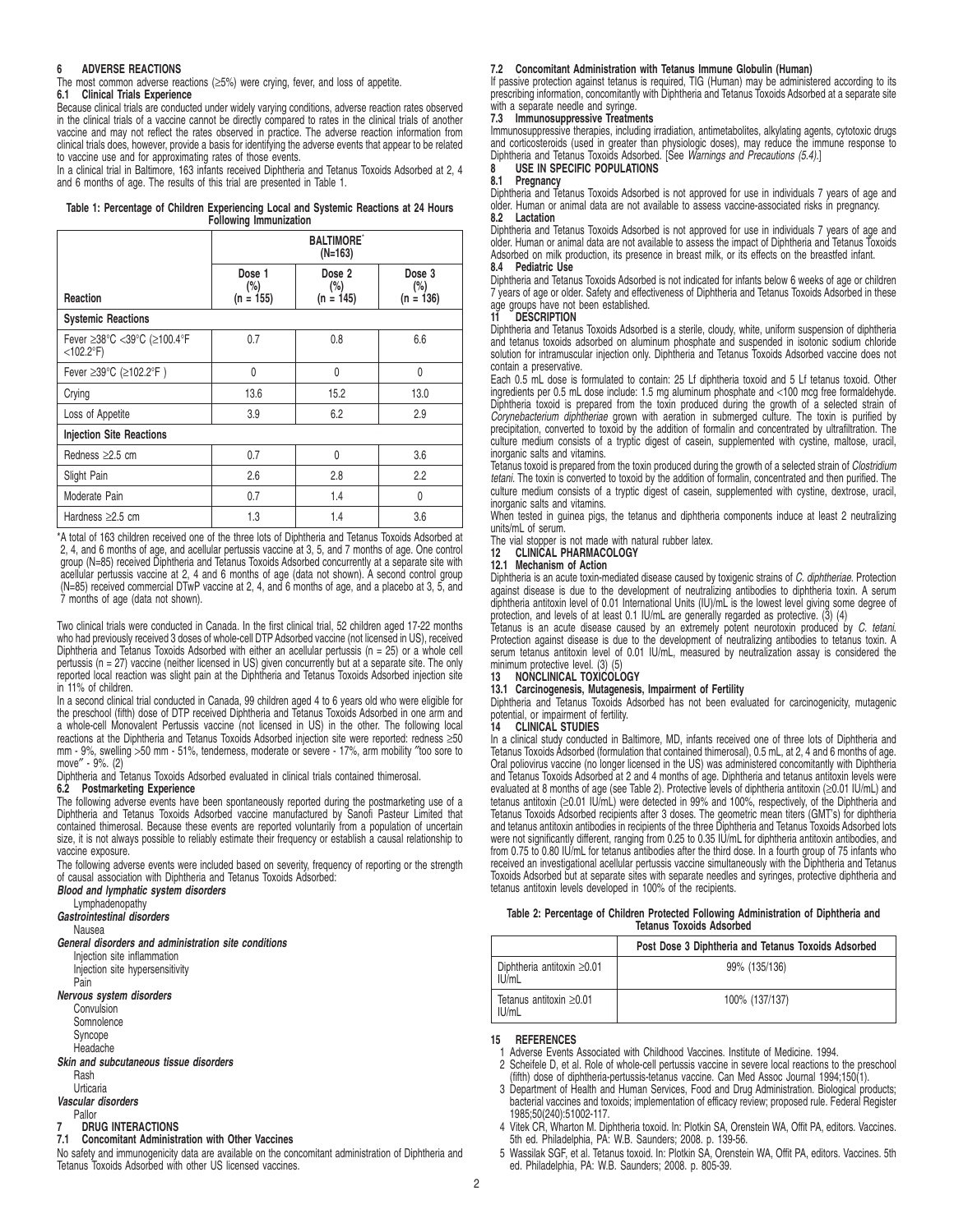## **6 ADVERSE REACTIONS**

The most common adverse reactions  $(\geq 5\%)$  were crying, fever, and loss of appetite.

# **6.1 Clinical Trials Experience**

Because clinical trials are conducted under widely varying conditions, adverse reaction rates observed in the clinical trials of a vaccine cannot be directly compared to rates in the clinical trials of another vaccine and may not reflect the rates observed in practice. The adverse reaction information from clinical trials does, however, provide a basis for identifying the adverse events that appear to be related to vaccine use and for approximating rates of those events.

In a clinical trial in Baltimore, 163 infants received Diphtheria and Tetanus Toxoids Adsorbed at 2, 4 and 6 months of age. The results of this trial are presented in Table 1.

# **Table 1: Percentage of Children Experiencing Local and Systemic Reactions at 24 Hours Following Immunization**

|                                             | <b>BALTIMORE</b><br>$(N=163)$   |                              |                                 |
|---------------------------------------------|---------------------------------|------------------------------|---------------------------------|
| Reaction                                    | Dose 1<br>$(\%)$<br>$(n = 155)$ | Dose 2<br>(%)<br>$(n = 145)$ | Dose 3<br>$(\%)$<br>$(n = 136)$ |
| <b>Systemic Reactions</b>                   |                                 |                              |                                 |
| Fever ≥38°C <39°C (≥100.4°F<br>$<$ 102.2°F) | 0.7                             | 0.8                          | 6.6                             |
| Fever ≥39°C (≥102.2°F)                      | 0                               | $\mathbf{0}$                 | $\mathbf{0}$                    |
| Crying                                      | 13.6                            | 15.2                         | 13.0                            |
| Loss of Appetite                            | 3.9                             | 6.2                          | 2.9                             |
| <b>Injection Site Reactions</b>             |                                 |                              |                                 |
| Redness $\geq 2.5$ cm                       | 0.7                             | $\mathbf{0}$                 | 3.6                             |
| Slight Pain                                 | 2.6                             | 2.8                          | 2.2                             |
| Moderate Pain                               | 0.7                             | 1.4                          | 0                               |
| Hardness $\geq$ 2.5 cm                      | 1.3                             | 1.4                          | 3.6                             |

\*A total of 163 children received one of the three lots of Diphtheria and Tetanus Toxoids Adsorbed at 2, 4, and 6 months of age, and acellular pertussis vaccine at 3, 5, and 7 months of age. One control group (N=85) received Diphtheria and Tetanus Toxoids Adsorbed concurrently at a separate site with acellular pertussis vaccine at 2, 4 and 6 months of age (data not shown). A second control group (N=85) received commercial DTwP vaccine at 2, 4, and 6 months of age, and a placebo at 3, 5, and 7 months of age (data not shown).

Two clinical trials were conducted in Canada. In the first clinical trial, 52 children aged 17-22 months who had previously received 3 doses of whole-cell DTP Adsorbed vaccine (not licensed in US), received Diphtheria and Tetanus Toxoids Adsorbed with either an acellular pertussis (n = 25) or a whole cell pertussis (n = 27) vaccine (neither licensed in US) given concurrently but at a separate site. The only reported local reaction was slight pain at the Diphtheria and Tetanus Toxoids Adsorbed injection site in 11% of children.

In a second clinical trial conducted in Canada, 99 children aged 4 to 6 years old who were eligible for the preschool (fifth) dose of DTP received Diphtheria and Tetanus Toxoids Adsorbed in one arm and a whole-cell Monovalent Pertussis vaccine (not licensed in US) in the other. The following local reactions at the Diphtheria and Tetanus Toxoids Adsorbed injection site were reported: redness ≥50 mm - 9%, swelling >50 mm - 51%, tenderness, moderate or severe - 17%, arm mobility ″too sore to move″ - 9%. (2)

Diphtheria and Tetanus Toxoids Adsorbed evaluated in clinical trials contained thimerosal.

# **6.2 Postmarketing Experience**

The following adverse events have been spontaneously reported during the postmarketing use of a Diphtheria and Tetanus Toxoids Adsorbed vaccine manufactured by Sanofi Pasteur Limited that contained thimerosal. Because these events are reported voluntarily from a population of uncertain size, it is not always possible to reliably estimate their frequency or establish a causal relationship to vaccine exposure.

The following adverse events were included based on severity, frequency of reporting or the strength of causal association with Diphtheria and Tetanus Toxoids Adsorbed:

# **Blood and lymphatic system disorders**

Lymphadenopathy

**Gastrointestinal disorders**

Nausea

# **General disorders and administration site conditions**

Injection site inflammation

Injection site hypersensitivity Pain

# **Nervous system disorders**

**Convulsion Somnolence** 

Syncope

Headache

# **Skin and subcutaneous tissue disorders**

#### Rash

### Urticaria

**Vascular disorders**

# Pallor

**7 DRUG INTERACTIONS 7.1 Concomitant Administration with Other Vaccines**

No safety and immunogenicity data are available on the concomitant administration of Diphtheria and Tetanus Toxoids Adsorbed with other US licensed vaccines.

### **7.2 Concomitant Administration with Tetanus Immune Globulin (Human)**

If passive protection against tetanus is required, TIG (Human) may be administered according to its prescribing information, concomitantly with Diphtheria and Tetanus Toxoids Adsorbed at a separate site with a separate needle and syringe.

# **7.3 Immunosuppressive Treatments**

Immunosuppressive therapies, including irradiation, antimetabolites, alkylating agents, cytotoxic drugs and corticosteroids (used in greater than physiologic doses), may reduce the immune response to<br>Diphtheria and Tetanus Toxoids Adsorbed. [See *Warnings and Precautions (5.4)*.]

#### 8 USE IN SPECIFIC POPULATIONS<br>8.1 Pregnancy **8.1 Pregnancy**

Diphtheria and Tetanus Toxoids Adsorbed is not approved for use in individuals 7 years of age and older. Human or animal data are not available to assess vaccine-associated risks in pregnancy. **8.2 Lactation**

Diphtheria and Tetanus Toxoids Adsorbed is not approved for use in individuals 7 years of age and older. Human or animal data are not available to assess the impact of Diphtheria and Tetanus Toxoids Adsorbed on milk production, its presence in breast milk, or its effects on the breastfed infant. **8.4 Pediatric Use**

Diphtheria and Tetanus Toxoids Adsorbed is not indicated for infants below 6 weeks of age or children 7 years of age or older. Safety and effectiveness of Diphtheria and Tetanus Toxoids Adsorbed in these age groups have not been established.

# **11 DESCRIPTION**

Diphtheria and Tetanus Toxoids Adsorbed is a sterile, cloudy, white, uniform suspension of diphtheria<br>and tetanus toxoids adsorbed on aluminum phosphate and suspended in isotonic sodium chloride<br>solution for intramuscular contain a preservative.

Each 0.5 mL dose is formulated to contain: 25 Lf diphtheria toxoid and 5 Lf tetanus toxoid. Other<br>ingredients per 0.5 mL dose include: 1.5 mg aluminum phosphate and <100 mcg free formaldehyde.<br>Diphtheria toxoid is prepared Corynebacterium diphtheriae grown with aeration in submerged culture. The toxin is purified by<br>precipitation, converted to toxoid by the addition of formalin and concentrated by ultrafiltration. The culture medium consists of a tryptic digest of casein, supplemented with cystine, maltose, uracil, inorganic salts and vitamins.

Tetanus toxoid is prepared from the toxin produced during the growth of a selected strain of Clostridium tetani. The toxin is converted to toxoid by the addition of formalin, concentrated and then purified. The culture medium consists of a tryptic digest of casein, supplemented with cystine, dextrose, uracil, inorganic salts and vitamins.

When tested in guinea pigs, the tetanus and diphtheria components induce at least 2 neutralizing units/mL of serum.

The vial stopper is not made with natural rubber latex.<br>12 CLINICAL PHARMACOLOGY

# **12 CLINICAL PHARMACOLOGY**

#### **12.1 Mechanism of Action**

Diphtheria is an acute toxin-mediated disease caused by toxigenic strains of C. diphtheriae. Protection against disease is due to the development of neutralizing antibodies to diphtheria toxin. A serum diphtheria antitoxin level of 0.01 International Units (IU)/mL is the lowest level giving some degree of protection, and levels of at least 0.1 IU/mL are generally regarded as protective. (3) (4)

Tetanus is an acute disease caused by an extremely potent neurotoxin produced by C. tetani.<br>Protection against disease is due to the development of neutralizing antibodies to tetanus toxin. A serum tetanus antitoxin level of 0.01 IU/mL, measured by neutralization assay is considered the

# minimum protective level. (3) (5) **13 NONCLINICAL TOXICOLOGY**

#### **13.1 Carcinogenesis, Mutagenesis, Impairment of Fertility**

Diphtheria and Tetanus Toxoids Adsorbed has not been evaluated for carcinogenicity, mutagenic potential, or impairment of fertility.

### **14 CLINICAL STUDIES**

In a clinical study conducted in Baltimore, MD, infants received one of three lots of Diphtheria and Tetanus Toxoids Adsorbed (formulation that contained thimerosal), 0.5 mL, at 2, 4 and 6 months of age. Oral poliovirus vaccine (no longer licensed in the US) was administered concomitantly with Diphtheria and Tetanus Toxoids Adsorbed at 2 and 4 months of age. Diphtheria and tetanus antitoxin levels were evaluated at 8 months of age (see Table 2). Protective levels of diphtheria antitoxin (≥0.01 IU/mL) and tetanus antitoxin (≥0.01 IU/mL) were detected in 99% and 100%, respectively, of the Diphtheria and<br>Tetanus Toxoids Adsorbed recipients after 3 doses. The geometric mean titers (GMT's) for diphtheria<br>and tetanus antitoxin were not significantly different, ranging from 0.25 to 0.35 IU/mL for diphtheria antitoxin antibodies, and from 0.75 to 0.80 IU/mL for tetanus antibodies after the third dose. In a fourth group of 75 infants who received an investigational acellular pertussis vaccine simultaneously with the Diphtheria and Tetanus Toxoids Adsorbed but at separate sites with separate needles and syringes, protective diphtheria and tetanus antitoxin levels developed in 100% of the recipients.

#### **Table 2: Percentage of Children Protected Following Administration of Diphtheria and Tetanus Toxoids Adsorbed**

|                                           | Post Dose 3 Diphtheria and Tetanus Toxoids Adsorbed |
|-------------------------------------------|-----------------------------------------------------|
| Diphtheria antitoxin $\geq 0.01$<br>IU/mL | 99% (135/136)                                       |
| Tetanus antitoxin $\geq 0.01$<br>IU/mL    | 100% (137/137)                                      |

#### **15 REFERENCES**

- 1 Adverse Events Associated with Childhood Vaccines. Institute of Medicine. 1994.
- 2 Scheifele D, et al. Role of whole-cell pertussis vaccine in severe local reactions to the preschool (fifth) dose of diphtheria-pertussis-tetanus vaccine. Can Med Assoc Journal 1994;150(1).
- 3 Department of Health and Human Services, Food and Drug Administration. Biological products; bacterial vaccines and toxoids; implementation of efficacy review; proposed rule. Federal Register 1985;50(240):51002-117.
- 4 Vitek CR, Wharton M. Diphtheria toxoid. In: Plotkin SA, Orenstein WA, Offit PA, editors. Vaccines. 5th ed. Philadelphia, PA: W.B. Saunders; 2008. p. 139-56.
- 5 Wassilak SGF, et al. Tetanus toxoid. In: Plotkin SA, Orenstein WA, Offit PA, editors. Vaccines. 5th ed. Philadelphia, PA: W.B. Saunders; 2008. p. 805-39.